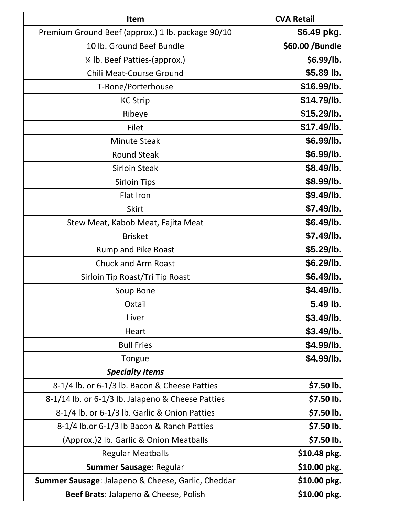| <b>Item</b>                                        | <b>CVA Retail</b> |
|----------------------------------------------------|-------------------|
| Premium Ground Beef (approx.) 1 lb. package 90/10  | \$6.49 pkg.       |
| 10 lb. Ground Beef Bundle                          | \$60.00 / Bundle  |
| 1/4 lb. Beef Patties-(approx.)                     | \$6.99/lb.        |
| <b>Chili Meat-Course Ground</b>                    | \$5.89 lb.        |
| T-Bone/Porterhouse                                 | \$16.99/lb.       |
| <b>KC Strip</b>                                    | \$14.79/lb.       |
| Ribeye                                             | \$15.29/lb.       |
| Filet                                              | \$17.49/lb.       |
| <b>Minute Steak</b>                                | \$6.99/lb.        |
| <b>Round Steak</b>                                 | \$6.99/lb.        |
| <b>Sirloin Steak</b>                               | \$8.49/lb.        |
| <b>Sirloin Tips</b>                                | \$8.99/lb.        |
| Flat Iron                                          | \$9.49/lb.        |
| <b>Skirt</b>                                       | \$7.49/lb.        |
| Stew Meat, Kabob Meat, Fajita Meat                 | \$6.49/lb.        |
| <b>Brisket</b>                                     | \$7.49/lb.        |
| <b>Rump and Pike Roast</b>                         | \$5.29/lb.        |
| <b>Chuck and Arm Roast</b>                         | \$6.29/lb.        |
| Sirloin Tip Roast/Tri Tip Roast                    | \$6.49/lb.        |
| Soup Bone                                          | \$4.49/lb.        |
| Oxtail                                             | 5.49 lb.          |
| Liver                                              | \$3.49/lb.        |
| Heart                                              | \$3.49/lb.        |
| <b>Bull Fries</b>                                  | \$4.99/lb.        |
| Tongue                                             | \$4.99/lb.        |
| <b>Specialty Items</b>                             |                   |
| 8-1/4 lb. or 6-1/3 lb. Bacon & Cheese Patties      | \$7.50 lb.        |
| 8-1/14 lb. or 6-1/3 lb. Jalapeno & Cheese Patties  | \$7.50 lb.        |
| 8-1/4 lb. or 6-1/3 lb. Garlic & Onion Patties      | \$7.50 lb.        |
| 8-1/4 lb.or 6-1/3 lb Bacon & Ranch Patties         | \$7.50 lb.        |
| (Approx.)2 lb. Garlic & Onion Meatballs            | \$7.50 lb.        |
| <b>Regular Meatballs</b>                           | \$10.48 pkg.      |
| Summer Sausage: Regular                            | \$10.00 pkg.      |
| Summer Sausage: Jalapeno & Cheese, Garlic, Cheddar | \$10.00 pkg.      |
| Beef Brats: Jalapeno & Cheese, Polish              | \$10.00 pkg.      |